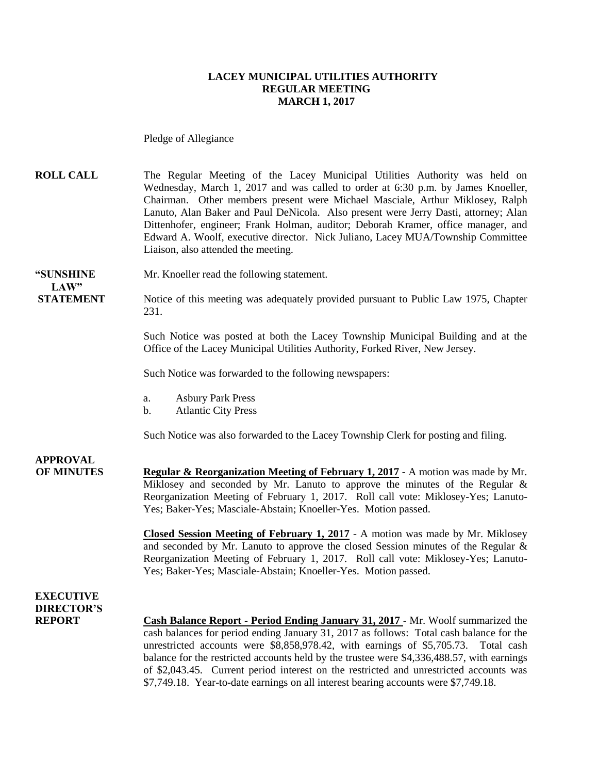#### **LACEY MUNICIPAL UTILITIES AUTHORITY REGULAR MEETING MARCH 1, 2017**

Pledge of Allegiance

**ROLL CALL** The Regular Meeting of the Lacey Municipal Utilities Authority was held on Wednesday, March 1, 2017 and was called to order at 6:30 p.m. by James Knoeller, Chairman. Other members present were Michael Masciale, Arthur Miklosey, Ralph Lanuto, Alan Baker and Paul DeNicola. Also present were Jerry Dasti, attorney; Alan Dittenhofer, engineer; Frank Holman, auditor; Deborah Kramer, office manager, and Edward A. Woolf, executive director. Nick Juliano, Lacey MUA/Township Committee Liaison, also attended the meeting.

**"SUNSHINE** Mr. Knoeller read the following statement. **LAW"** 

**STATEMENT** Notice of this meeting was adequately provided pursuant to Public Law 1975, Chapter 231.

> Such Notice was posted at both the Lacey Township Municipal Building and at the Office of the Lacey Municipal Utilities Authority, Forked River, New Jersey.

Such Notice was forwarded to the following newspapers:

- a. Asbury Park Press
- b. Atlantic City Press

Such Notice was also forwarded to the Lacey Township Clerk for posting and filing.

**APPROVAL OF MINUTES Regular & Reorganization Meeting of February 1, 2017 -** A motion was made by Mr. Miklosey and seconded by Mr. Lanuto to approve the minutes of the Regular & Reorganization Meeting of February 1, 2017. Roll call vote: Miklosey-Yes; Lanuto-Yes; Baker-Yes; Masciale-Abstain; Knoeller-Yes. Motion passed.

> **Closed Session Meeting of February 1, 2017** - A motion was made by Mr. Miklosey and seconded by Mr. Lanuto to approve the closed Session minutes of the Regular & Reorganization Meeting of February 1, 2017. Roll call vote: Miklosey-Yes; Lanuto-Yes; Baker-Yes; Masciale-Abstain; Knoeller-Yes. Motion passed.

### **EXECUTIVE DIRECTOR'S**

**REPORT Cash Balance Report - Period Ending January 31, 2017** - Mr. Woolf summarized the cash balances for period ending January 31, 2017 as follows: Total cash balance for the unrestricted accounts were \$8,858,978.42, with earnings of \$5,705.73. Total cash balance for the restricted accounts held by the trustee were \$4,336,488.57, with earnings of \$2,043.45. Current period interest on the restricted and unrestricted accounts was \$7,749.18. Year-to-date earnings on all interest bearing accounts were \$7,749.18.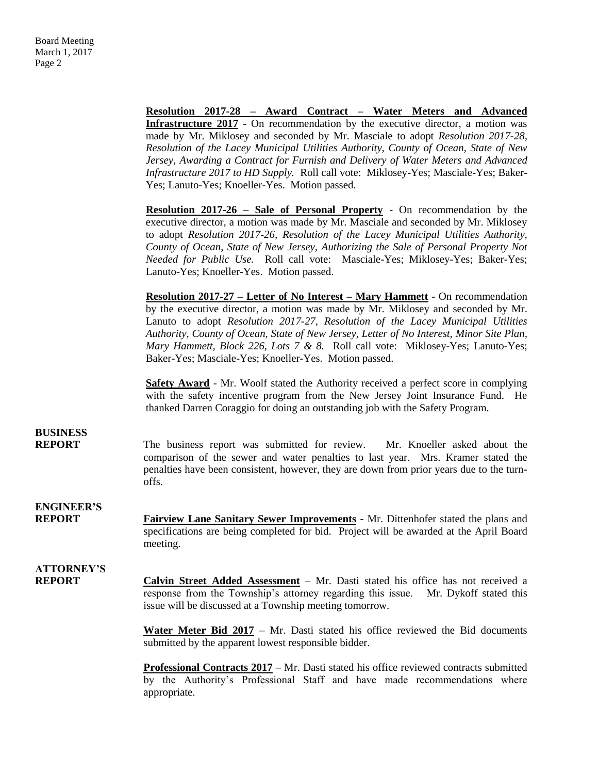|                                    | Resolution 2017-28 - Award Contract - Water Meters and Advanced                                                                                                                                                                                                                                                                                                                                                                                                                                    |
|------------------------------------|----------------------------------------------------------------------------------------------------------------------------------------------------------------------------------------------------------------------------------------------------------------------------------------------------------------------------------------------------------------------------------------------------------------------------------------------------------------------------------------------------|
|                                    | <b>Infrastructure 2017</b> - On recommendation by the executive director, a motion was<br>made by Mr. Miklosey and seconded by Mr. Masciale to adopt Resolution 2017-28,                                                                                                                                                                                                                                                                                                                           |
|                                    | Resolution of the Lacey Municipal Utilities Authority, County of Ocean, State of New                                                                                                                                                                                                                                                                                                                                                                                                               |
|                                    | Jersey, Awarding a Contract for Furnish and Delivery of Water Meters and Advanced                                                                                                                                                                                                                                                                                                                                                                                                                  |
|                                    | Infrastructure 2017 to HD Supply. Roll call vote: Miklosey-Yes; Masciale-Yes; Baker-<br>Yes; Lanuto-Yes; Knoeller-Yes. Motion passed.                                                                                                                                                                                                                                                                                                                                                              |
|                                    |                                                                                                                                                                                                                                                                                                                                                                                                                                                                                                    |
|                                    | Resolution 2017-26 - Sale of Personal Property - On recommendation by the<br>executive director, a motion was made by Mr. Masciale and seconded by Mr. Miklosey<br>to adopt Resolution 2017-26, Resolution of the Lacey Municipal Utilities Authority,<br>County of Ocean, State of New Jersey, Authorizing the Sale of Personal Property Not<br>Needed for Public Use. Roll call vote: Masciale-Yes; Miklosey-Yes; Baker-Yes;<br>Lanuto-Yes; Knoeller-Yes. Motion passed.                         |
|                                    | <b>Resolution 2017-27 – Letter of No Interest – Mary Hammett</b> - On recommendation<br>by the executive director, a motion was made by Mr. Miklosey and seconded by Mr.<br>Lanuto to adopt Resolution 2017-27, Resolution of the Lacey Municipal Utilities<br>Authority, County of Ocean, State of New Jersey, Letter of No Interest, Minor Site Plan,<br>Mary Hammett, Block 226, Lots 7 & 8. Roll call vote: Miklosey-Yes; Lanuto-Yes;<br>Baker-Yes; Masciale-Yes; Knoeller-Yes. Motion passed. |
|                                    | <b>Safety Award</b> - Mr. Woolf stated the Authority received a perfect score in complying<br>with the safety incentive program from the New Jersey Joint Insurance Fund. He<br>thanked Darren Coraggio for doing an outstanding job with the Safety Program.                                                                                                                                                                                                                                      |
| <b>BUSINESS</b><br><b>REPORT</b>   | The business report was submitted for review. Mr. Knoeller asked about the<br>comparison of the sewer and water penalties to last year. Mrs. Kramer stated the<br>penalties have been consistent, however, they are down from prior years due to the turn-<br>offs.                                                                                                                                                                                                                                |
| <b>ENGINEER'S</b><br><b>REPORT</b> | <b>Fairview Lane Sanitary Sewer Improvements - Mr. Dittenhofer stated the plans and</b><br>specifications are being completed for bid. Project will be awarded at the April Board<br>meeting.                                                                                                                                                                                                                                                                                                      |
| <b>ATTORNEY'S</b><br><b>REPORT</b> | <b>Calvin Street Added Assessment</b> – Mr. Dasti stated his office has not received a<br>response from the Township's attorney regarding this issue. Mr. Dykoff stated this<br>issue will be discussed at a Township meeting tomorrow.                                                                                                                                                                                                                                                            |
|                                    | <b>Water Meter Bid 2017</b> – Mr. Dasti stated his office reviewed the Bid documents<br>submitted by the apparent lowest responsible bidder.                                                                                                                                                                                                                                                                                                                                                       |
|                                    | Professional Contracts 2017 - Mr. Dasti stated his office reviewed contracts submitted<br>by the Authority's Professional Staff and have made recommendations where<br>appropriate.                                                                                                                                                                                                                                                                                                                |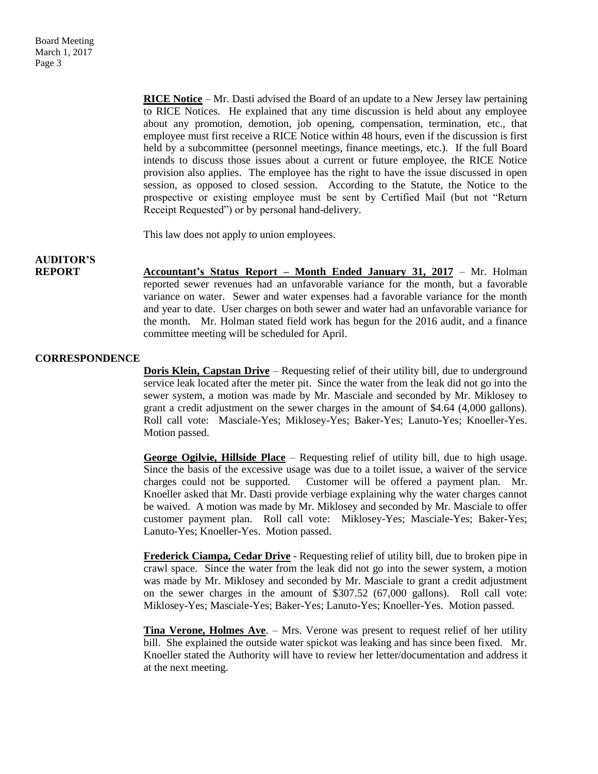**RICE Notice** – Mr. Dasti advised the Board of an update to a New Jersey law pertaining to RICE Notices. He explained that any time discussion is held about any employee about any promotion, demotion, job opening, compensation, termination, etc., that employee must first receive a RICE Notice within 48 hours, even if the discussion is first held by a subcommittee (personnel meetings, finance meetings, etc.). If the full Board intends to discuss those issues about a current or future employee, the RICE Notice provision also applies. The employee has the right to have the issue discussed in open session, as opposed to closed session. According to the Statute, the Notice to the prospective or existing employee must be sent by Certified Mail (but not "Return Receipt Requested") or by personal hand-delivery.

This law does not apply to union employees.

## **AUDITOR'S**

**REPORT** Accountant's Status Report – Month Ended January 31, 2017 – Mr. Holman reported sewer revenues had an unfavorable variance for the month, but a favorable variance on water. Sewer and water expenses had a favorable variance for the month and year to date. User charges on both sewer and water had an unfavorable variance for the month. Mr. Holman stated field work has begun for the 2016 audit, and a finance committee meeting will be scheduled for April.

#### **CORRESPONDENCE**

**Doris Klein, Capstan Drive** – Requesting relief of their utility bill, due to underground service leak located after the meter pit. Since the water from the leak did not go into the sewer system, a motion was made by Mr. Masciale and seconded by Mr. Miklosey to grant a credit adjustment on the sewer charges in the amount of \$4.64 (4,000 gallons). Roll call vote: Masciale-Yes; Miklosey-Yes; Baker-Yes; Lanuto-Yes; Knoeller-Yes. Motion passed.

**George Ogilvie, Hillside Place** – Requesting relief of utility bill, due to high usage. Since the basis of the excessive usage was due to a toilet issue, a waiver of the service charges could not be supported. Customer will be offered a payment plan. Mr. Knoeller asked that Mr. Dasti provide verbiage explaining why the water charges cannot be waived. A motion was made by Mr. Miklosey and seconded by Mr. Masciale to offer customer payment plan. Roll call vote: Miklosey-Yes; Masciale-Yes; Baker-Yes; Lanuto-Yes; Knoeller-Yes. Motion passed.

**Frederick Ciampa, Cedar Drive** - Requesting relief of utility bill, due to broken pipe in crawl space. Since the water from the leak did not go into the sewer system, a motion was made by Mr. Miklosey and seconded by Mr. Masciale to grant a credit adjustment on the sewer charges in the amount of \$307.52 (67,000 gallons). Roll call vote: Miklosey-Yes; Masciale-Yes; Baker-Yes; Lanuto-Yes; Knoeller-Yes. Motion passed.

**Tina Verone, Holmes Ave**. – Mrs. Verone was present to request relief of her utility bill. She explained the outside water spickot was leaking and has since been fixed. Mr. Knoeller stated the Authority will have to review her letter/documentation and address it at the next meeting.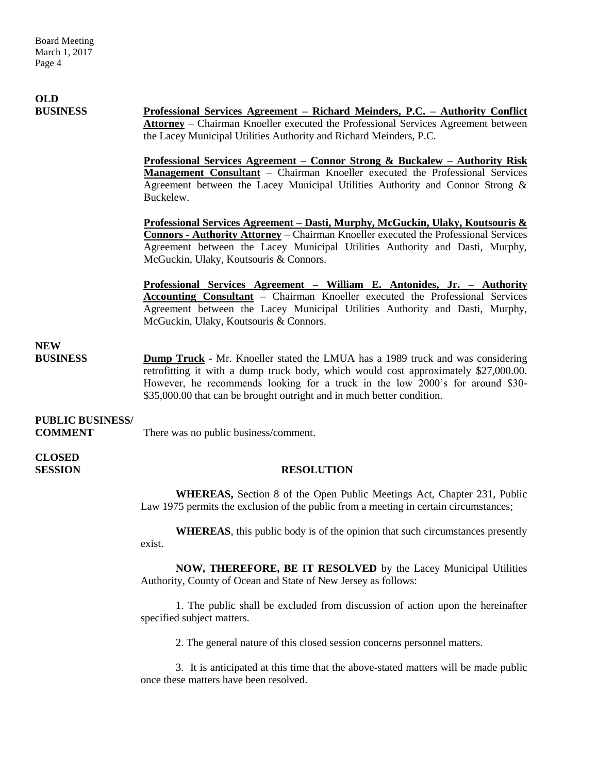#### **OLD BUSINESS Professional Services Agreement – Richard Meinders, P.C. – Authority Conflict Attorney** – Chairman Knoeller executed the Professional Services Agreement between the Lacey Municipal Utilities Authority and Richard Meinders, P.C.

**Professional Services Agreement – Connor Strong & Buckalew – Authority Risk Management Consultant** – Chairman Knoeller executed the Professional Services Agreement between the Lacey Municipal Utilities Authority and Connor Strong & Buckelew.

**Professional Services Agreement – Dasti, Murphy, McGuckin, Ulaky, Koutsouris & Connors - Authority Attorney** – Chairman Knoeller executed the Professional Services Agreement between the Lacey Municipal Utilities Authority and Dasti, Murphy, McGuckin, Ulaky, Koutsouris & Connors.

**Professional Services Agreement – William E. Antonides, Jr. – Authority Accounting Consultant** – Chairman Knoeller executed the Professional Services Agreement between the Lacey Municipal Utilities Authority and Dasti, Murphy, McGuckin, Ulaky, Koutsouris & Connors.

### **NEW**

**BUSINESS Dump Truck** - Mr. Knoeller stated the LMUA has a 1989 truck and was considering retrofitting it with a dump truck body, which would cost approximately \$27,000.00. However, he recommends looking for a truck in the low 2000's for around \$30- \$35,000.00 that can be brought outright and in much better condition.

## **PUBLIC BUSINESS/**

**COMMENT** There was no public business/comment.

**CLOSED** 

### **SESSION RESOLUTION**

**WHEREAS,** Section 8 of the Open Public Meetings Act, Chapter 231, Public Law 1975 permits the exclusion of the public from a meeting in certain circumstances;

**WHEREAS**, this public body is of the opinion that such circumstances presently exist.

**NOW, THEREFORE, BE IT RESOLVED** by the Lacey Municipal Utilities Authority, County of Ocean and State of New Jersey as follows:

1. The public shall be excluded from discussion of action upon the hereinafter specified subject matters.

2. The general nature of this closed session concerns personnel matters.

3. It is anticipated at this time that the above-stated matters will be made public once these matters have been resolved.